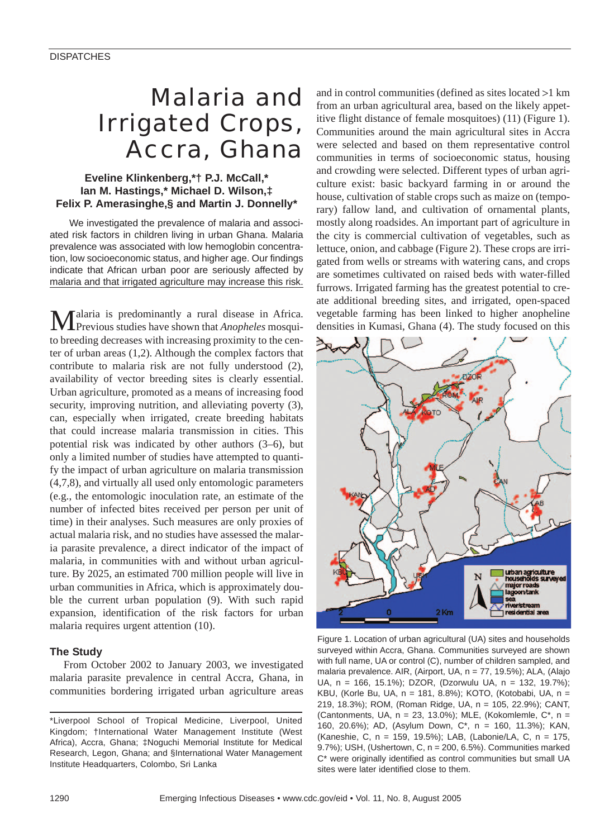# Malaria and Irrigated Crops, Accra, Ghana

# **Eveline Klinkenberg,\*† P.J. McCall,\* Ian M. Hastings,\* Michael D. Wilson,‡ Felix P. Amerasinghe,§ and Martin J. Donnelly\***

We investigated the prevalence of malaria and associated risk factors in children living in urban Ghana. Malaria prevalence was associated with low hemoglobin concentration, low socioeconomic status, and higher age. Our findings indicate that African urban poor are seriously affected by malaria and that irrigated agriculture may increase this risk.

Malaria is predominantly a rural disease in Africa. Previous studies have shown that *Anopheles* mosquito breeding decreases with increasing proximity to the center of urban areas (1,2). Although the complex factors that contribute to malaria risk are not fully understood (2), availability of vector breeding sites is clearly essential. Urban agriculture, promoted as a means of increasing food security, improving nutrition, and alleviating poverty (3), can, especially when irrigated, create breeding habitats that could increase malaria transmission in cities. This potential risk was indicated by other authors (3–6), but only a limited number of studies have attempted to quantify the impact of urban agriculture on malaria transmission (4,7,8), and virtually all used only entomologic parameters (e.g., the entomologic inoculation rate, an estimate of the number of infected bites received per person per unit of time) in their analyses. Such measures are only proxies of actual malaria risk, and no studies have assessed the malaria parasite prevalence, a direct indicator of the impact of malaria, in communities with and without urban agriculture. By 2025, an estimated 700 million people will live in urban communities in Africa, which is approximately double the current urban population (9). With such rapid expansion, identification of the risk factors for urban malaria requires urgent attention (10).

# **The Study**

From October 2002 to January 2003, we investigated malaria parasite prevalence in central Accra, Ghana, in communities bordering irrigated urban agriculture areas and in control communities (defined as sites located >1 km from an urban agricultural area, based on the likely appetitive flight distance of female mosquitoes) (11) (Figure 1). Communities around the main agricultural sites in Accra were selected and based on them representative control communities in terms of socioeconomic status, housing and crowding were selected. Different types of urban agriculture exist: basic backyard farming in or around the house, cultivation of stable crops such as maize on (temporary) fallow land, and cultivation of ornamental plants, mostly along roadsides. An important part of agriculture in the city is commercial cultivation of vegetables, such as lettuce, onion, and cabbage (Figure 2). These crops are irrigated from wells or streams with watering cans, and crops are sometimes cultivated on raised beds with water-filled furrows. Irrigated farming has the greatest potential to create additional breeding sites, and irrigated, open-spaced vegetable farming has been linked to higher anopheline densities in Kumasi, Ghana (4). The study focused on this



Figure 1. Location of urban agricultural (UA) sites and households surveyed within Accra, Ghana. Communities surveyed are shown with full name, UA or control (C), number of children sampled, and malaria prevalence. AIR, (Airport, UA, n = 77, 19.5%); ALA, (Alajo UA, n = 166, 15.1%); DZOR, (Dzorwulu UA, n = 132, 19.7%); KBU, (Korle Bu, UA, n = 181, 8.8%); KOTO, (Kotobabi, UA, n = 219, 18.3%); ROM, (Roman Ridge, UA, n = 105, 22.9%); CANT, (Cantonments, UA,  $n = 23$ , 13.0%); MLE, (Kokomlemle, C\*,  $n =$ 160, 20.6%); AD, (Asylum Down, C\*, n = 160, 11.3%); KAN, (Kaneshie, C, n = 159, 19.5%); LAB, (Labonie/LA, C, n = 175, 9.7%); USH, (Ushertown, C, n = 200, 6.5%). Communities marked C\* were originally identified as control communities but small UA sites were later identified close to them.

<sup>\*</sup>Liverpool School of Tropical Medicine, Liverpool, United Kingdom; †International Water Management Institute (West Africa), Accra, Ghana; ‡Noguchi Memorial Institute for Medical Research, Legon, Ghana; and §International Water Management Institute Headquarters, Colombo, Sri Lanka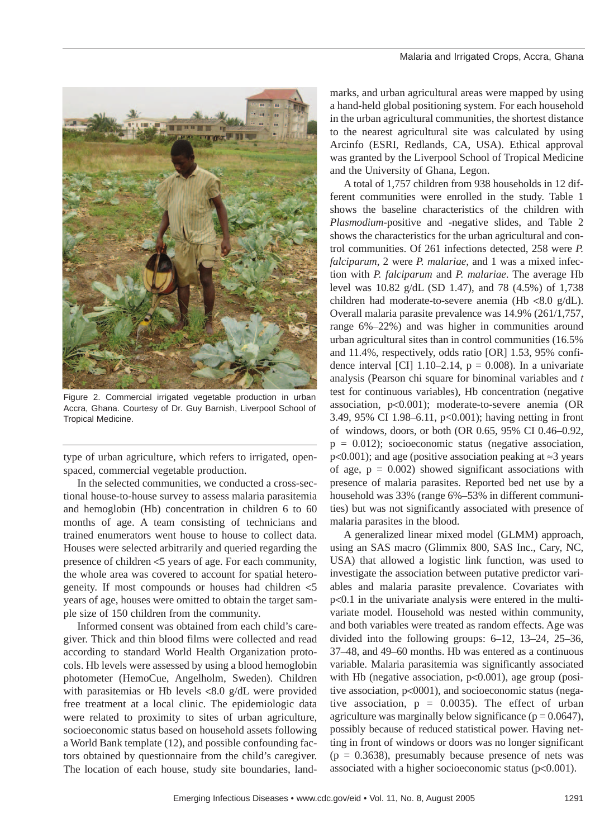

Figure 2. Commercial irrigated vegetable production in urban Accra, Ghana. Courtesy of Dr. Guy Barnish, Liverpool School of Tropical Medicine.

type of urban agriculture, which refers to irrigated, openspaced, commercial vegetable production.

In the selected communities, we conducted a cross-sectional house-to-house survey to assess malaria parasitemia and hemoglobin (Hb) concentration in children 6 to 60 months of age. A team consisting of technicians and trained enumerators went house to house to collect data. Houses were selected arbitrarily and queried regarding the presence of children <5 years of age. For each community, the whole area was covered to account for spatial heterogeneity. If most compounds or houses had children <5 years of age, houses were omitted to obtain the target sample size of 150 children from the community.

Informed consent was obtained from each child's caregiver. Thick and thin blood films were collected and read according to standard World Health Organization protocols. Hb levels were assessed by using a blood hemoglobin photometer (HemoCue, Angelholm, Sweden). Children with parasitemias or Hb levels <8.0 g/dL were provided free treatment at a local clinic. The epidemiologic data were related to proximity to sites of urban agriculture, socioeconomic status based on household assets following a World Bank template (12), and possible confounding factors obtained by questionnaire from the child's caregiver. The location of each house, study site boundaries, landmarks, and urban agricultural areas were mapped by using a hand-held global positioning system. For each household in the urban agricultural communities, the shortest distance to the nearest agricultural site was calculated by using Arcinfo (ESRI, Redlands, CA, USA). Ethical approval was granted by the Liverpool School of Tropical Medicine and the University of Ghana, Legon.

A total of 1,757 children from 938 households in 12 different communities were enrolled in the study. Table 1 shows the baseline characteristics of the children with *Plasmodium*-positive and -negative slides, and Table 2 shows the characteristics for the urban agricultural and control communities. Of 261 infections detected, 258 were *P. falciparum*, 2 were *P. malariae*, and 1 was a mixed infection with *P. falciparum* and *P. malariae*. The average Hb level was 10.82 g/dL (SD 1.47), and 78 (4.5%) of 1,738 children had moderate-to-severe anemia (Hb <8.0 g/dL). Overall malaria parasite prevalence was 14.9% (261/1,757, range 6%–22%) and was higher in communities around urban agricultural sites than in control communities (16.5% and 11.4%, respectively, odds ratio [OR] 1.53, 95% confidence interval [CI]  $1.10-2.14$ ,  $p = 0.008$ ). In a univariate analysis (Pearson chi square for binominal variables and *t* test for continuous variables), Hb concentration (negative association, p<0.001); moderate-to-severe anemia (OR 3.49, 95% CI 1.98–6.11, p<0.001); having netting in front of windows, doors, or both (OR 0.65, 95% CI 0.46–0.92,  $p = 0.012$ ); socioeconomic status (negative association, p<0.001); and age (positive association peaking at ≈3 years of age,  $p = 0.002$ ) showed significant associations with presence of malaria parasites. Reported bed net use by a household was 33% (range 6%–53% in different communities) but was not significantly associated with presence of malaria parasites in the blood.

A generalized linear mixed model (GLMM) approach, using an SAS macro (Glimmix 800, SAS Inc., Cary, NC, USA) that allowed a logistic link function, was used to investigate the association between putative predictor variables and malaria parasite prevalence. Covariates with p<0.1 in the univariate analysis were entered in the multivariate model. Household was nested within community, and both variables were treated as random effects. Age was divided into the following groups: 6–12, 13–24, 25–36, 37–48, and 49–60 months. Hb was entered as a continuous variable. Malaria parasitemia was significantly associated with Hb (negative association,  $p<0.001$ ), age group (positive association, p<0001), and socioeconomic status (negative association,  $p = 0.0035$ ). The effect of urban agriculture was marginally below significance ( $p = 0.0647$ ), possibly because of reduced statistical power. Having netting in front of windows or doors was no longer significant  $(p = 0.3638)$ , presumably because presence of nets was associated with a higher socioeconomic status (p<0.001).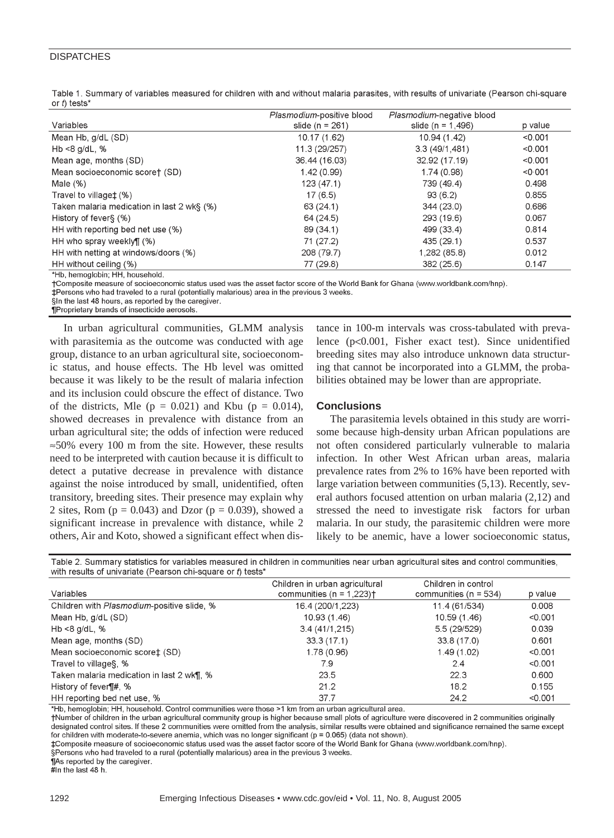## **DISPATCHES**

|             |  |  | Table 1. Summary of variables measured for children with and without malaria parasites, with results of univariate (Pearson chi-square |  |  |  |
|-------------|--|--|----------------------------------------------------------------------------------------------------------------------------------------|--|--|--|
| or t tests* |  |  |                                                                                                                                        |  |  |  |

|                                            | Plasmodium-positive blood | Plasmodium-negative blood |         |
|--------------------------------------------|---------------------------|---------------------------|---------|
| Variables                                  | slide ( $n = 261$ )       | slide ( $n = 1,496$ )     | p value |
| Mean Hb, g/dL (SD)                         | 10.17 (1.62)              | 10.94 (1.42)              | < 0.001 |
| Hb $<8$ g/dL, %                            | 11.3 (29/257)             | 3.3(49/1,481)             | < 0.001 |
| Mean age, months (SD)                      | 36.44 (16.03)             | 32.92 (17.19)             | < 0.001 |
| Mean socioeconomic scoret (SD)             | 1.42(0.99)                | 1.74(0.98)                | < 0.001 |
| Male $(\%)$                                | 123(47.1)                 | 739 (49.4)                | 0.498   |
| Travel to villaget (%)                     | 17(6.5)                   | 93(6.2)                   | 0.855   |
| Taken malaria medication in last 2 wk§ (%) | 63(24.1)                  | 344(23.0)                 | 0.686   |
| History of fever§ (%)                      | 64 (24.5)                 | 293 (19.6)                | 0.067   |
| HH with reporting bed net use (%)          | 89 (34.1)                 | 499 (33.4)                | 0.814   |
| HH who spray weekly¶ (%)                   | 71 (27.2)                 | 435 (29.1)                | 0.537   |
| HH with netting at windows/doors (%)       | 208 (79.7)                | 1,282 (85.8)              | 0.012   |
| HH without ceiling (%)                     | 77 (29.8)                 | 382(25.6)                 | 0.147   |
| *Hb. hemoglobin: HH. household.            |                           |                           |         |

+Composite measure of socioeconomic status used was the asset factor score of the World Bank for Ghana (www.worldbank.com/hnp).

‡Persons who had traveled to a rural (potentially malarious) area in the previous 3 weeks.

§In the last 48 hours, as reported by the caregiver.

¶Proprietary brands of insecticide aerosols.

In urban agricultural communities, GLMM analysis with parasitemia as the outcome was conducted with age group, distance to an urban agricultural site, socioeconomic status, and house effects. The Hb level was omitted because it was likely to be the result of malaria infection and its inclusion could obscure the effect of distance. Two of the districts, Mle ( $p = 0.021$ ) and Kbu ( $p = 0.014$ ), showed decreases in prevalence with distance from an urban agricultural site; the odds of infection were reduced ≈50% every 100 m from the site. However, these results need to be interpreted with caution because it is difficult to detect a putative decrease in prevalence with distance against the noise introduced by small, unidentified, often transitory, breeding sites. Their presence may explain why 2 sites, Rom ( $p = 0.043$ ) and Dzor ( $p = 0.039$ ), showed a significant increase in prevalence with distance, while 2 others, Air and Koto, showed a significant effect when distance in 100-m intervals was cross-tabulated with prevalence (p<0.001, Fisher exact test). Since unidentified breeding sites may also introduce unknown data structuring that cannot be incorporated into a GLMM, the probabilities obtained may be lower than are appropriate.

### **Conclusions**

The parasitemia levels obtained in this study are worrisome because high-density urban African populations are not often considered particularly vulnerable to malaria infection. In other West African urban areas, malaria prevalence rates from 2% to 16% have been reported with large variation between communities (5,13). Recently, several authors focused attention on urban malaria (2,12) and stressed the need to investigate risk factors for urban malaria. In our study, the parasitemic children were more likely to be anemic, have a lower socioeconomic status,

Table 2. Summary statistics for variables measured in children in communities near urban agricultural sites and control communities. with results of univariate (Pearson chi-square or t) tests\*

|                                            | Children in urban agricultural           | Children in control       |          |
|--------------------------------------------|------------------------------------------|---------------------------|----------|
| Variables                                  | communities ( $n = 1,223$ ) <sup>+</sup> | communities ( $n = 534$ ) | p value  |
| Children with Plasmodium-positive slide, % | 16.4 (200/1,223)                         | 11.4 (61/534)             | 0.008    |
| Mean Hb, g/dL (SD)                         | 10.93 (1.46)                             | 10.59 (1.46)              | < 0.001  |
| Hb $<$ 8 g/dL, $%$                         | 3.4(41/1,215)                            | 5.5 (29/529)              | 0.039    |
| Mean age, months (SD)                      | 33.3(17.1)                               | 33.8 (17.0)               | 0.601    |
| Mean socioeconomic score‡ (SD)             | 1.78 (0.96)                              | 1.49(1.02)                | < 0.001  |
| Travel to villages, %                      | 7.9                                      | 2.4                       | < 0.001  |
| Taken malaria medication in last 2 wk¶, %  | 23.5                                     | 22.3                      | 0.600    |
| History of fever¶#, %                      | 21.2                                     | 18.2                      | 0.155    |
| HH reporting hed net use %                 | 37.7                                     | 24.2                      | $<$ 0.01 |

\*Hb, hemoglobin; HH, household. Control communities were those >1 km from an urban agricultural area.

†Number of children in the urban agricultural community group is higher because small plots of agriculture were discovered in 2 communities originally designated control sites. If these 2 communities were omitted from the analysis, similar results were obtained and significance remained the same except for children with moderate-to-severe anemia, which was no longer significant ( $p = 0.065$ ) (data not shown).

‡Composite measure of socioeconomic status used was the asset factor score of the World Bank for Ghana (www.worldbank.com/hnp).

§Persons who had traveled to a rural (potentially malarious) area in the previous 3 weeks.

¶As reported by the caregiver.